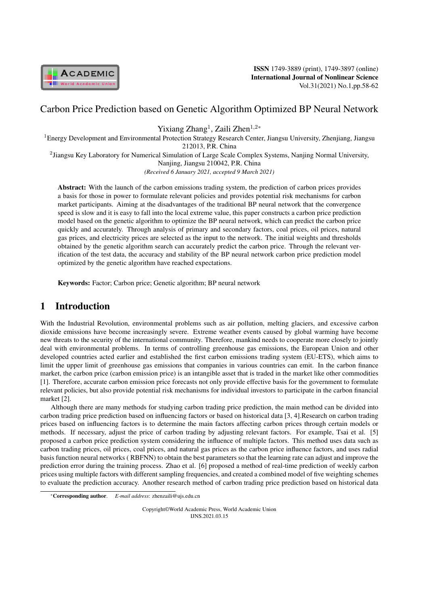

ISSN 1749-3889 (print), 1749-3897 (online) International Journal of Nonlinear Science Vol.31(2021) No.1,pp.58-62

# Carbon Price Prediction based on Genetic Algorithm Optimized BP Neural Network

Yixiang Zhang<sup>1</sup>, Zaili Zhen<sup>1,2\*</sup>

<sup>1</sup>Energy Development and Environmental Protection Strategy Research Center, Jiangsu University, Zhenjiang, Jiangsu 212013, P.R. China

<sup>2</sup> Jiangsu Key Laboratory for Numerical Simulation of Large Scale Complex Systems, Nanjing Normal University, Nanjing, Jiangsu 210042, P.R. China

*(Received 6 January 2021, accepted 9 March 2021)*

Abstract: With the launch of the carbon emissions trading system, the prediction of carbon prices provides a basis for those in power to formulate relevant policies and provides potential risk mechanisms for carbon market participants. Aiming at the disadvantages of the traditional BP neural network that the convergence speed is slow and it is easy to fall into the local extreme value, this paper constructs a carbon price prediction model based on the genetic algorithm to optimize the BP neural network, which can predict the carbon price quickly and accurately. Through analysis of primary and secondary factors, coal prices, oil prices, natural gas prices, and electricity prices are selected as the input to the network. The initial weights and thresholds obtained by the genetic algorithm search can accurately predict the carbon price. Through the relevant verification of the test data, the accuracy and stability of the BP neural network carbon price prediction model optimized by the genetic algorithm have reached expectations.

Keywords: Factor; Carbon price; Genetic algorithm; BP neural network

# 1 Introduction

With the Industrial Revolution, environmental problems such as air pollution, melting glaciers, and excessive carbon dioxide emissions have become increasingly severe. Extreme weather events caused by global warming have become new threats to the security of the international community. Therefore, mankind needs to cooperate more closely to jointly deal with environmental problems. In terms of controlling greenhouse gas emissions, the European Union and other developed countries acted earlier and established the first carbon emissions trading system (EU-ETS), which aims to limit the upper limit of greenhouse gas emissions that companies in various countries can emit. In the carbon finance market, the carbon price (carbon emission price) is an intangible asset that is traded in the market like other commodities [1]. Therefore, accurate carbon emission price forecasts not only provide effective basis for the government to formulate relevant policies, but also provide potential risk mechanisms for individual investors to participate in the carbon financial market [2].

Although there are many methods for studying carbon trading price prediction, the main method can be divided into carbon trading price prediction based on influencing factors or based on historical data [3, 4].Research on carbon trading prices based on influencing factors is to determine the main factors affecting carbon prices through certain models or methods. If necessary, adjust the price of carbon trading by adjusting relevant factors. For example, Tsai et al. [5] proposed a carbon price prediction system considering the influence of multiple factors. This method uses data such as carbon trading prices, oil prices, coal prices, and natural gas prices as the carbon price influence factors, and uses radial basis function neural networks ( RBFNN) to obtain the best parameters so that the learning rate can adjust and improve the prediction error during the training process. Zhao et al. [6] proposed a method of real-time prediction of weekly carbon prices using multiple factors with different sampling frequencies, and created a combined model of five weighting schemes to evaluate the prediction accuracy. Another research method of carbon trading price prediction based on historical data

Copyright©World Academic Press, World Academic Union IJNS.2021.03.15

<sup>\*</sup>Corresponding author. *E-mail address*: zhenzaili@ujs.edu.cn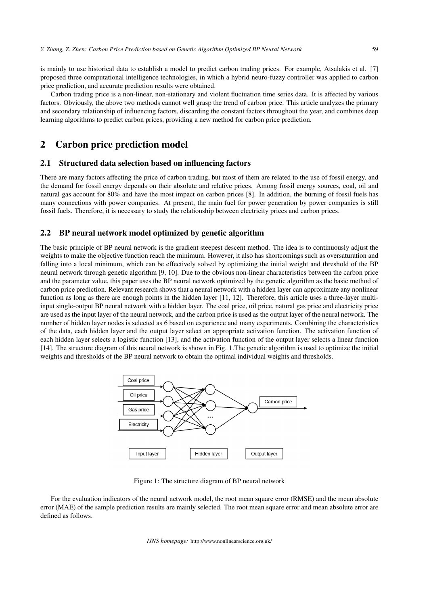is mainly to use historical data to establish a model to predict carbon trading prices. For example, Atsalakis et al. [7] proposed three computational intelligence technologies, in which a hybrid neuro-fuzzy controller was applied to carbon price prediction, and accurate prediction results were obtained.

Carbon trading price is a non-linear, non-stationary and violent fluctuation time series data. It is affected by various factors. Obviously, the above two methods cannot well grasp the trend of carbon price. This article analyzes the primary and secondary relationship of influencing factors, discarding the constant factors throughout the year, and combines deep learning algorithms to predict carbon prices, providing a new method for carbon price prediction.

### 2 Carbon price prediction model

#### 2.1 Structured data selection based on influencing factors

There are many factors affecting the price of carbon trading, but most of them are related to the use of fossil energy, and the demand for fossil energy depends on their absolute and relative prices. Among fossil energy sources, coal, oil and natural gas account for 80% and have the most impact on carbon prices [8]. In addition, the burning of fossil fuels has many connections with power companies. At present, the main fuel for power generation by power companies is still fossil fuels. Therefore, it is necessary to study the relationship between electricity prices and carbon prices.

#### 2.2 BP neural network model optimized by genetic algorithm

The basic principle of BP neural network is the gradient steepest descent method. The idea is to continuously adjust the weights to make the objective function reach the minimum. However, it also has shortcomings such as oversaturation and falling into a local minimum, which can be effectively solved by optimizing the initial weight and threshold of the BP neural network through genetic algorithm [9, 10]. Due to the obvious non-linear characteristics between the carbon price and the parameter value, this paper uses the BP neural network optimized by the genetic algorithm as the basic method of carbon price prediction. Relevant research shows that a neural network with a hidden layer can approximate any nonlinear function as long as there are enough points in the hidden layer [11, 12]. Therefore, this article uses a three-layer multiinput single-output BP neural network with a hidden layer. The coal price, oil price, natural gas price and electricity price are used as the input layer of the neural network, and the carbon price is used as the output layer of the neural network. The number of hidden layer nodes is selected as 6 based on experience and many experiments. Combining the characteristics of the data, each hidden layer and the output layer select an appropriate activation function. The activation function of each hidden layer selects a logistic function [13], and the activation function of the output layer selects a linear function [14]. The structure diagram of this neural network is shown in Fig. 1.The genetic algorithm is used to optimize the initial weights and thresholds of the BP neural network to obtain the optimal individual weights and thresholds.



Figure 1: The structure diagram of BP neural network

For the evaluation indicators of the neural network model, the root mean square error (RMSE) and the mean absolute error (MAE) of the sample prediction results are mainly selected. The root mean square error and mean absolute error are defined as follows.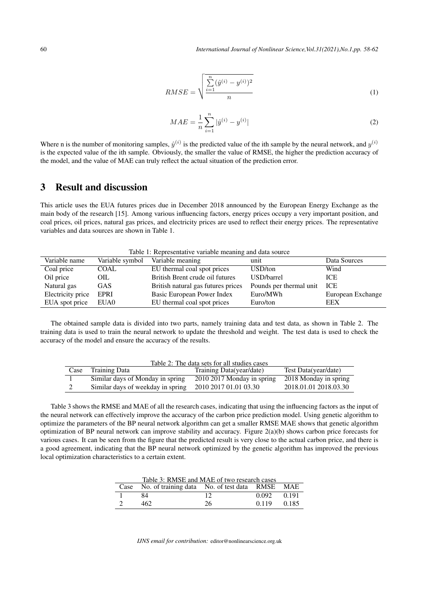$$
RMSE = \sqrt{\frac{\sum_{i=1}^{n} (\hat{y}^{(i)} - y^{(i)})^2}{n}}
$$
 (1)

$$
MAE = \frac{1}{n} \sum_{i=1}^{n} |\hat{y}^{(i)} - y^{(i)}|
$$
 (2)

Where n is the number of monitoring samples,  $\hat{y}^{(i)}$  is the predicted value of the ith sample by the neural network, and  $y^{(i)}$ is the expected value of the ith sample. Obviously, the smaller the value of RMSE, the higher the prediction accuracy of the model, and the value of MAE can truly reflect the actual situation of the prediction error.

## 3 Result and discussion

This article uses the EUA futures prices due in December 2018 announced by the European Energy Exchange as the main body of the research [15]. Among various influencing factors, energy prices occupy a very important position, and coal prices, oil prices, natural gas prices, and electricity prices are used to reflect their energy prices. The representative variables and data sources are shown in Table 1.

Table 1: Representative variable meaning and data source

| Variable name     | Variable symbol | Variable meaning                   | unit                    | Data Sources      |
|-------------------|-----------------|------------------------------------|-------------------------|-------------------|
| Coal price        | COAL            | EU thermal coal spot prices        | USD/ton                 | Wind              |
| Oil price         | OIL             | British Brent crude oil futures    | USD/barrel              | <b>ICE</b>        |
| Natural gas       | GAS.            | British natural gas futures prices | Pounds per thermal unit | ICE               |
| Electricity price | EPRI            | Basic European Power Index         | Euro/MWh                | European Exchange |
| EUA spot price    | EUA0            | EU thermal coal spot prices        | Euro/ton                | EEX               |

The obtained sample data is divided into two parts, namely training data and test data, as shown in Table 2. The training data is used to train the neural network to update the threshold and weight. The test data is used to check the accuracy of the model and ensure the accuracy of the results.

| Table 2: The data sets for all studies cases |                                   |                              |                       |  |  |  |  |
|----------------------------------------------|-----------------------------------|------------------------------|-----------------------|--|--|--|--|
| Case                                         | <b>Training Data</b>              | Training Data(year/date)     | Test Data(year/date)  |  |  |  |  |
|                                              | Similar days of Monday in spring  | $2010$ 2017 Monday in spring | 2018 Monday in spring |  |  |  |  |
|                                              | Similar days of weekday in spring | 2010 2017 01.01 03.30        | 2018.01.01 2018.03.30 |  |  |  |  |

Table 3 shows the RMSE and MAE of all the research cases, indicating that using the influencing factors as the input of the neural network can effectively improve the accuracy of the carbon price prediction model. Using genetic algorithm to optimize the parameters of the BP neural network algorithm can get a smaller RMSE MAE shows that genetic algorithm optimization of BP neural network can improve stability and accuracy. Figure 2(a)(b) shows carbon price forecasts for various cases. It can be seen from the figure that the predicted result is very close to the actual carbon price, and there is a good agreement, indicating that the BP neural network optimized by the genetic algorithm has improved the previous local optimization characteristics to a certain extent.

| Table 3: RMSE and MAE of two research cases |                                                     |    |       |       |  |  |  |
|---------------------------------------------|-----------------------------------------------------|----|-------|-------|--|--|--|
|                                             | Case No. of training data No. of test data RMSE MAE |    |       |       |  |  |  |
|                                             | 84                                                  | 12 | 0.092 | 0.191 |  |  |  |
|                                             | 462.                                                | 26 | 0.119 | 0.185 |  |  |  |

*IJNS email for contribution:* editor@nonlinearscience.org.uk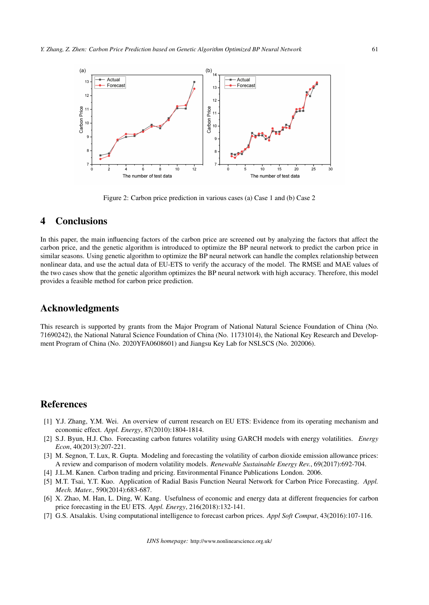

Figure 2: Carbon price prediction in various cases (a) Case 1 and (b) Case 2

# 4 Conclusions

In this paper, the main influencing factors of the carbon price are screened out by analyzing the factors that affect the carbon price, and the genetic algorithm is introduced to optimize the BP neural network to predict the carbon price in similar seasons. Using genetic algorithm to optimize the BP neural network can handle the complex relationship between nonlinear data, and use the actual data of EU-ETS to verify the accuracy of the model. The RMSE and MAE values of the two cases show that the genetic algorithm optimizes the BP neural network with high accuracy. Therefore, this model provides a feasible method for carbon price prediction.

## Acknowledgments

This research is supported by grants from the Major Program of National Natural Science Foundation of China (No. 71690242), the National Natural Science Foundation of China (No. 11731014), the National Key Research and Development Program of China (No. 2020YFA0608601) and Jiangsu Key Lab for NSLSCS (No. 202006).

## References

- [1] Y.J. Zhang, Y.M. Wei. An overview of current research on EU ETS: Evidence from its operating mechanism and economic effect. *Appl. Energy*, 87(2010):1804-1814.
- [2] S.J. Byun, H.J. Cho. Forecasting carbon futures volatility using GARCH models with energy volatilities. *Energy Econ*, 40(2013):207-221.
- [3] M. Segnon, T. Lux, R. Gupta. Modeling and forecasting the volatility of carbon dioxide emission allowance prices: A review and comparison of modern volatility models. *Renewable Sustainable Energy Rev.*, 69(2017):692-704.
- [4] J.L.M. Kanen. Carbon trading and pricing. Environmental Finance Publications London. 2006.
- [5] M.T. Tsai, Y.T. Kuo. Application of Radial Basis Function Neural Network for Carbon Price Forecasting. *Appl. Mech. Mater.*, 590(2014):683-687.
- [6] X. Zhao, M. Han, L. Ding, W. Kang. Usefulness of economic and energy data at different frequencies for carbon price forecasting in the EU ETS. *Appl. Energy*, 216(2018):132-141.
- [7] G.S. Atsalakis. Using computational intelligence to forecast carbon prices. *Appl Soft Comput*, 43(2016):107-116.

*IJNS homepage:* http://www.nonlinearscience.org.uk/